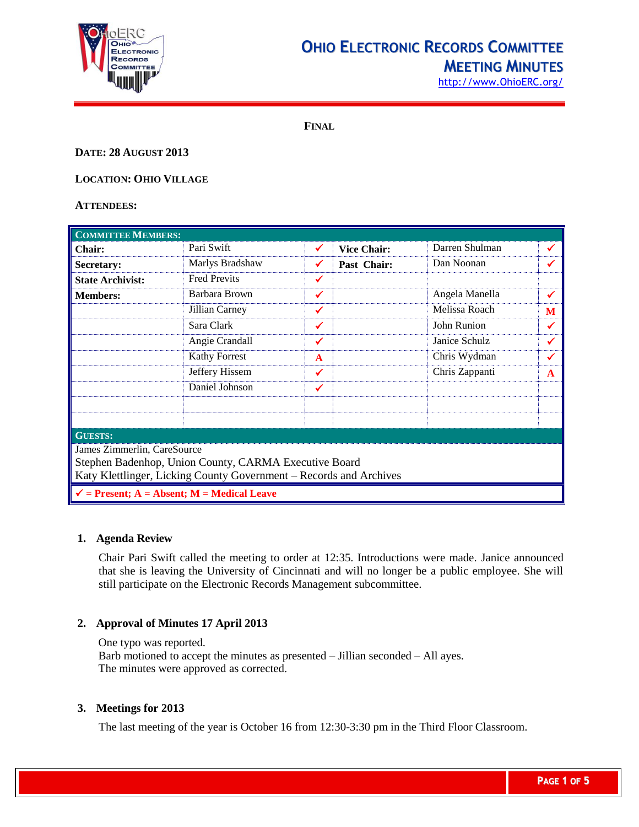

# **OHIO ELECTRONIC RECORDS COMMITTEE MEETING MINUTES**

[http://www.OhioERC.org/](http://www.ohioerc.org/)

**FINAL**

# **DATE: 28 AUGUST 2013**

**LOCATION: OHIO VILLAGE**

### **ATTENDEES:**

| <b>COMMITTEE MEMBERS:</b>                                          |                      |              |                    |                |   |  |
|--------------------------------------------------------------------|----------------------|--------------|--------------------|----------------|---|--|
| <b>Chair:</b>                                                      | Pari Swift           | $\checkmark$ | <b>Vice Chair:</b> | Darren Shulman | ✔ |  |
| <b>Secretary:</b>                                                  | Marlys Bradshaw      | ✔            | Past Chair:        | Dan Noonan     | ✔ |  |
| <b>State Archivist:</b>                                            | <b>Fred Previts</b>  | ✔            |                    |                |   |  |
| <b>Members:</b>                                                    | Barbara Brown        | ✓            |                    | Angela Manella | ✔ |  |
|                                                                    | Jillian Carney       | ✔            |                    | Melissa Roach  | M |  |
|                                                                    | Sara Clark           | ✔            |                    | John Runion    | ✓ |  |
|                                                                    | Angie Crandall       | ✔            |                    | Janice Schulz  | ✔ |  |
|                                                                    | <b>Kathy Forrest</b> | $\mathbf{A}$ |                    | Chris Wydman   | ✔ |  |
|                                                                    | Jeffery Hissem       | ✓            |                    | Chris Zappanti | A |  |
|                                                                    | Daniel Johnson       | ✔            |                    |                |   |  |
|                                                                    |                      |              |                    |                |   |  |
|                                                                    |                      |              |                    |                |   |  |
| <b>GUESTS:</b>                                                     |                      |              |                    |                |   |  |
| James Zimmerlin, CareSource                                        |                      |              |                    |                |   |  |
| Stephen Badenhop, Union County, CARMA Executive Board              |                      |              |                    |                |   |  |
| Katy Klettlinger, Licking County Government - Records and Archives |                      |              |                    |                |   |  |
| $\checkmark$ = Present; A = Absent; M = Medical Leave              |                      |              |                    |                |   |  |

#### **1. Agenda Review**

Chair Pari Swift called the meeting to order at 12:35. Introductions were made. Janice announced that she is leaving the University of Cincinnati and will no longer be a public employee. She will still participate on the Electronic Records Management subcommittee.

# **2. Approval of Minutes 17 April 2013**

One typo was reported. Barb motioned to accept the minutes as presented – Jillian seconded – All ayes. The minutes were approved as corrected.

# **3. Meetings for 2013**

The last meeting of the year is October 16 from 12:30-3:30 pm in the Third Floor Classroom.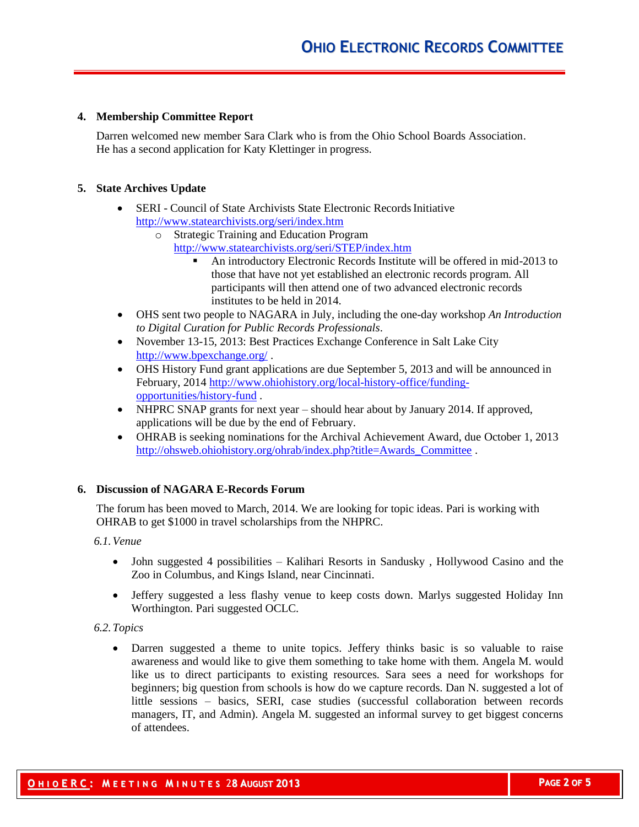## **4. Membership Committee Report**

Darren welcomed new member Sara Clark who is from the Ohio School Boards Association. He has a second application for Katy Klettinger in progress.

## **5. State Archives Update**

- SERI Council of State Archivists State Electronic Records Initiative <http://www.statearchivists.org/seri/index.htm>
	- o Strategic Training and Education Program <http://www.statearchivists.org/seri/STEP/index.htm>
		- An introductory Electronic Records Institute will be offered in mid-2013 to those that have not yet established an electronic records program. All participants will then attend one of two advanced electronic records institutes to be held in 2014.
- OHS sent two people to NAGARA in July, including the one-day workshop *An Introduction to Digital Curation for Public Records Professionals*.
- November 13-15, 2013: Best Practices Exchange Conference in Salt Lake City <http://www.bpexchange.org/> .
- OHS History Fund grant applications are due September 5, 2013 and will be announced in February, 2014 [http://www.ohiohistory.org/local-history-office/funding](http://www.ohiohistory.org/local-history-office/funding-opportunities/history-fund)[opportunities/history-fund](http://www.ohiohistory.org/local-history-office/funding-opportunities/history-fund) .
- NHPRC SNAP grants for next year should hear about by January 2014. If approved, applications will be due by the end of February.
- OHRAB is seeking nominations for the Archival Achievement Award, due October 1, 2013 [http://ohsweb.ohiohistory.org/ohrab/index.php?title=Awards\\_Committee](http://ohsweb.ohiohistory.org/ohrab/index.php?title=Awards_Committee) .

## **6. Discussion of NAGARA E-Records Forum**

The forum has been moved to March, 2014. We are looking for topic ideas. Pari is working with OHRAB to get \$1000 in travel scholarships from the NHPRC.

*6.1.Venue*

- John suggested 4 possibilities Kalihari Resorts in Sandusky, Hollywood Casino and the Zoo in Columbus, and Kings Island, near Cincinnati.
- Jeffery suggested a less flashy venue to keep costs down. Marlys suggested Holiday Inn Worthington. Pari suggested OCLC.

## *6.2.Topics*

 Darren suggested a theme to unite topics. Jeffery thinks basic is so valuable to raise awareness and would like to give them something to take home with them. Angela M. would like us to direct participants to existing resources. Sara sees a need for workshops for beginners; big question from schools is how do we capture records. Dan N. suggested a lot of little sessions – basics, SERI, case studies (successful collaboration between records managers, IT, and Admin). Angela M. suggested an informal survey to get biggest concerns of attendees.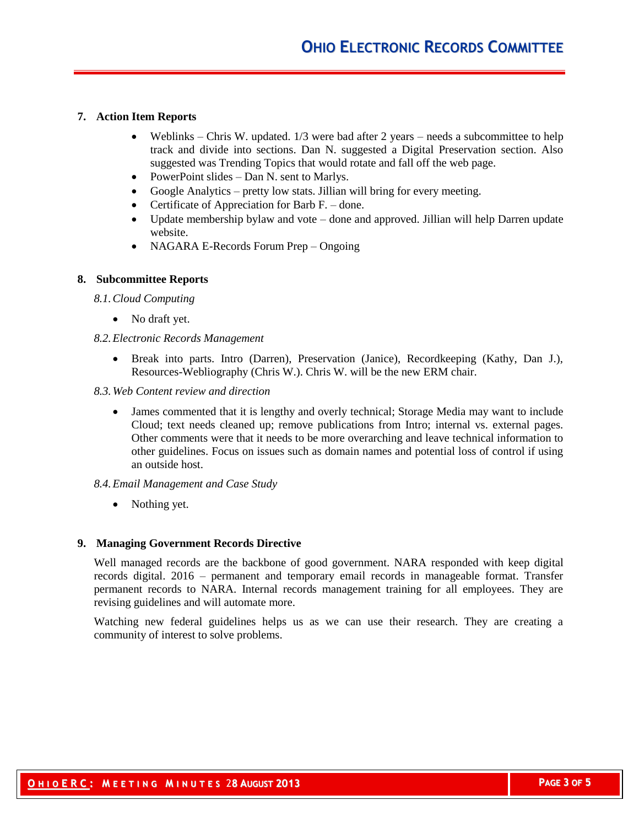### **7. Action Item Reports**

- Weblinks Chris W. updated.  $1/3$  were bad after 2 years needs a subcommittee to help track and divide into sections. Dan N. suggested a Digital Preservation section. Also suggested was Trending Topics that would rotate and fall off the web page.
- PowerPoint slides Dan N. sent to Marlys.
- Google Analytics pretty low stats. Jillian will bring for every meeting.
- Certificate of Appreciation for Barb  $F.$  done.
- Update membership bylaw and vote done and approved. Jillian will help Darren update website.
- NAGARA E-Records Forum Prep Ongoing

## **8. Subcommittee Reports**

*8.1.Cloud Computing*

• No draft yet.

## *8.2.Electronic Records Management*

- Break into parts. Intro (Darren), Preservation (Janice), Recordkeeping (Kathy, Dan J.), Resources-Webliography (Chris W.). Chris W. will be the new ERM chair.
- *8.3.Web Content review and direction*
	- James commented that it is lengthy and overly technical; Storage Media may want to include Cloud; text needs cleaned up; remove publications from Intro; internal vs. external pages. Other comments were that it needs to be more overarching and leave technical information to other guidelines. Focus on issues such as domain names and potential loss of control if using an outside host.

#### *8.4.Email Management and Case Study*

• Nothing yet.

#### **9. Managing Government Records Directive**

Well managed records are the backbone of good government. NARA responded with keep digital records digital. 2016 – permanent and temporary email records in manageable format. Transfer permanent records to NARA. Internal records management training for all employees. They are revising guidelines and will automate more.

Watching new federal guidelines helps us as we can use their research. They are creating a community of interest to solve problems.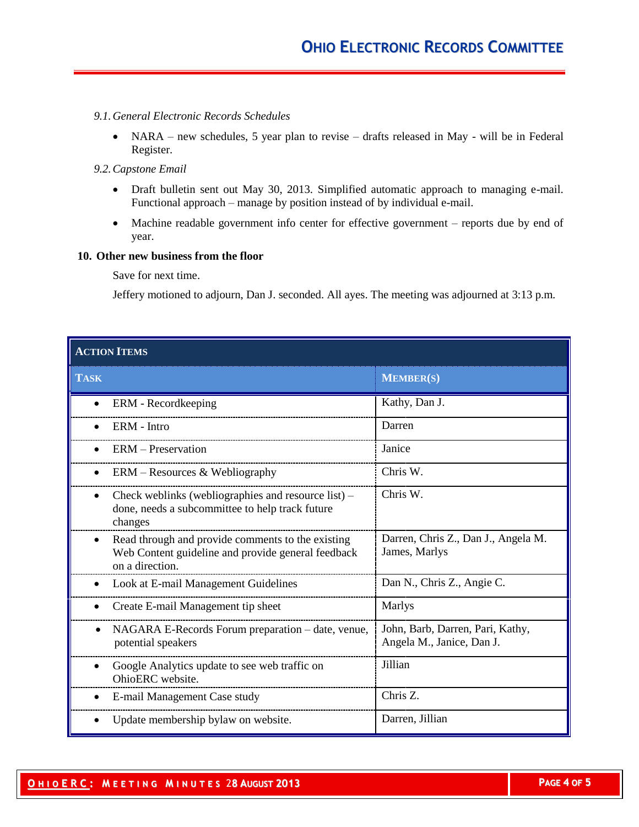## *9.1.General Electronic Records Schedules*

• NARA – new schedules, 5 year plan to revise – drafts released in May - will be in Federal Register.

#### *9.2.Capstone Email*

- Draft bulletin sent out May 30, 2013. Simplified automatic approach to managing e-mail. Functional approach – manage by position instead of by individual e-mail.
- Machine readable government info center for effective government reports due by end of year.

#### **10. Other new business from the floor**

Save for next time.

Jeffery motioned to adjourn, Dan J. seconded. All ayes. The meeting was adjourned at 3:13 p.m.

| <b>ACTION ITEMS</b>                                                                                                                     |                                                               |  |  |  |
|-----------------------------------------------------------------------------------------------------------------------------------------|---------------------------------------------------------------|--|--|--|
| <b>TASK</b>                                                                                                                             | <b>MEMBER(S)</b>                                              |  |  |  |
| ERM - Recordkeeping<br>$\bullet$                                                                                                        | Kathy, Dan J.                                                 |  |  |  |
| ERM - Intro                                                                                                                             | Darren                                                        |  |  |  |
| <b>ERM</b> – Preservation                                                                                                               | Janice                                                        |  |  |  |
| $ERM - Resources & Webliography$<br>$\bullet$                                                                                           | Chris W.                                                      |  |  |  |
| Check weblinks (webliographies and resource list) –<br>$\bullet$<br>done, needs a subcommittee to help track future<br>changes          | Chris W.                                                      |  |  |  |
| Read through and provide comments to the existing<br>$\bullet$<br>Web Content guideline and provide general feedback<br>on a direction. | Darren, Chris Z., Dan J., Angela M.<br>James, Marlys          |  |  |  |
| Look at E-mail Management Guidelines                                                                                                    | Dan N., Chris Z., Angie C.                                    |  |  |  |
| Create E-mail Management tip sheet                                                                                                      | Marlys                                                        |  |  |  |
| NAGARA E-Records Forum preparation - date, venue,<br>$\bullet$<br>potential speakers                                                    | John, Barb, Darren, Pari, Kathy,<br>Angela M., Janice, Dan J. |  |  |  |
| Google Analytics update to see web traffic on<br>OhioERC website.                                                                       | Jillian                                                       |  |  |  |
| E-mail Management Case study                                                                                                            | Chris Z.                                                      |  |  |  |
| Update membership bylaw on website.                                                                                                     | Darren, Jillian                                               |  |  |  |